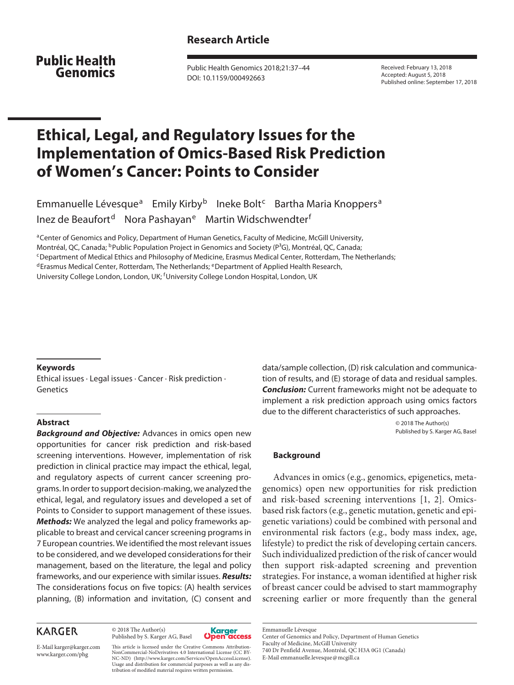## **Research Article**

**Public Health** Genomics

Public Health Genomics 2018;21:37–44 DOI: 10.1159/000492663

Received: February 13, 2018 Accepted: August 5, 2018 Published online: September 17, 2018

# **Ethical, Legal, and Regulatory Issues for the Implementation of Omics-Based Risk Prediction of Women's Cancer: Points to Consider**

Emmanuelle Lévesque<sup>a</sup> Emily Kirby<sup>b</sup> Ineke Bolt<sup>c</sup> Bartha Maria Knoppers<sup>a</sup> Inez de Beaufort<sup>d</sup> Nora Pashayan<sup>e</sup> Martin Widschwendter<sup>f</sup>

aCenter of Genomics and Policy, Department of Human Genetics, Faculty of Medicine, McGill University, Montréal, QC, Canada; <sup>b</sup>Public Population Project in Genomics and Society (P<sup>3</sup>G), Montréal, QC, Canada;<br><sup>c</sup>Department of Medical Ethics and Philosophy of Medicine, Erasmus Medical Center, Rotterdam, The Netherlands;  $d$ Erasmus Medical Center, Rotterdam, The Netherlands;  $e$ Department of Applied Health Research, University College London, London, UK; <sup>f</sup>University College London Hospital, London, UK

#### **Keywords**

Ethical issues · Legal issues · Cancer · Risk prediction · Genetics

#### **Abstract**

*Background and Objective:* Advances in omics open new opportunities for cancer risk prediction and risk-based screening interventions. However, implementation of risk prediction in clinical practice may impact the ethical, legal, and regulatory aspects of current cancer screening programs. In order to support decision-making, we analyzed the ethical, legal, and regulatory issues and developed a set of Points to Consider to support management of these issues. *Methods:* We analyzed the legal and policy frameworks applicable to breast and cervical cancer screening programs in 7 European countries. We identified the most relevant issues to be considered, and we developed considerations for their management, based on the literature, the legal and policy frameworks, and our experience with similar issues. *Results:* The considerations focus on five topics: (A) health services planning, (B) information and invitation, (C) consent and

## **KARGER**

© 2018 The Author(s) Published by S. Karger AG, Basel



E-Mail karger@karger.com www.karger.com/phg

This article is licensed under the Creative Commons Attribution-NonCommercial-NoDerivatives 4.0 International License (CC BY-NC-ND) (http://www.karger.com/Services/OpenAccessLicense). Usage and distribution for commercial purposes as well as any distribution of modified material requires written permission.

data/sample collection, (D) risk calculation and communication of results, and (E) storage of data and residual samples. *Conclusion:* Current frameworks might not be adequate to implement a risk prediction approach using omics factors due to the different characteristics of such approaches.

> © 2018 The Author(s) Published by S. Karger AG, Basel

#### **Background**

Advances in omics (e.g., genomics, epigenetics, metagenomics) open new opportunities for risk prediction and risk-based screening interventions [1, 2]. Omicsbased risk factors (e.g., genetic mutation, genetic and epigenetic variations) could be combined with personal and environmental risk factors (e.g., body mass index, age, lifestyle) to predict the risk of developing certain cancers. Such individualized prediction of the risk of cancer would then support risk-adapted screening and prevention strategies. For instance, a woman identified at higher risk of breast cancer could be advised to start mammography screening earlier or more frequently than the general

Emmanuelle Lévesque Center of Genomics and Policy, Department of Human Genetics Faculty of Medicine, McGill University 740 Dr Penfield Avenue, Montréal, QC H3A 0G1 (Canada) E-Mail emmanuelle.levesque@mcgill.ca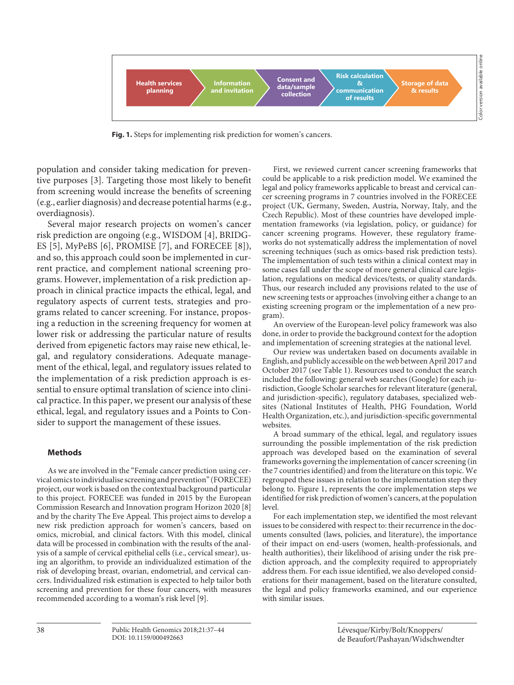

**Fig. 1.** Steps for implementing risk prediction for women's cancers.

population and consider taking medication for preventive purposes [3]. Targeting those most likely to benefit from screening would increase the benefits of screening (e.g., earlier diagnosis) and decrease potential harms (e.g., overdiagnosis).

Several major research projects on women's cancer risk prediction are ongoing (e.g., WISDOM [4], BRIDG-ES [5], MyPeBS [6], PROMISE [7], and FORECEE [8]), and so, this approach could soon be implemented in current practice, and complement national screening programs. However, implementation of a risk prediction approach in clinical practice impacts the ethical, legal, and regulatory aspects of current tests, strategies and programs related to cancer screening. For instance, proposing a reduction in the screening frequency for women at lower risk or addressing the particular nature of results derived from epigenetic factors may raise new ethical, legal, and regulatory considerations. Adequate management of the ethical, legal, and regulatory issues related to the implementation of a risk prediction approach is essential to ensure optimal translation of science into clinical practice. In this paper, we present our analysis of these ethical, legal, and regulatory issues and a Points to Consider to support the management of these issues.

#### **Methods**

As we are involved in the "Female cancer prediction using cervical omics to individualise screening and prevention" (FORECEE) project, our work is based on the contextual background particular to this project. FORECEE was funded in 2015 by the European Commission Research and Innovation program Horizon 2020 [8] and by the charity The Eve Appeal. This project aims to develop a new risk prediction approach for women's cancers, based on omics, microbial, and clinical factors. With this model, clinical data will be processed in combination with the results of the analysis of a sample of cervical epithelial cells (i.e., cervical smear), using an algorithm, to provide an individualized estimation of the risk of developing breast, ovarian, endometrial, and cervical cancers. Individualized risk estimation is expected to help tailor both screening and prevention for these four cancers, with measures recommended according to a woman's risk level [9].

First, we reviewed current cancer screening frameworks that could be applicable to a risk prediction model. We examined the legal and policy frameworks applicable to breast and cervical cancer screening programs in 7 countries involved in the FORECEE project (UK, Germany, Sweden, Austria, Norway, Italy, and the Czech Republic). Most of these countries have developed implementation frameworks (via legislation, policy, or guidance) for cancer screening programs. However, these regulatory frameworks do not systematically address the implementation of novel screening techniques (such as omics-based risk prediction tests). The implementation of such tests within a clinical context may in some cases fall under the scope of more general clinical care legislation, regulations on medical devices/tests, or quality standards. Thus, our research included any provisions related to the use of new screening tests or approaches (involving either a change to an existing screening program or the implementation of a new program).

An overview of the European-level policy framework was also done, in order to provide the background context for the adoption and implementation of screening strategies at the national level.

Our review was undertaken based on documents available in English, and publicly accessible on the web between April 2017 and October 2017 (see Table 1). Resources used to conduct the search included the following: general web searches (Google) for each jurisdiction, Google Scholar searches for relevant literature (general, and jurisdiction-specific), regulatory databases, specialized websites (National Institutes of Health, PHG Foundation, World Health Organization, etc.), and jurisdiction-specific governmental websites.

A broad summary of the ethical, legal, and regulatory issues surrounding the possible implementation of the risk prediction approach was developed based on the examination of several frameworks governing the implementation of cancer screening (in the 7 countries identified) and from the literature on this topic. We regrouped these issues in relation to the implementation step they belong to. Figure 1, represents the core implementation steps we identified for risk prediction of women's cancers, at the population level.

For each implementation step, we identified the most relevant issues to be considered with respect to: their recurrence in the documents consulted (laws, policies, and literature), the importance of their impact on end-users (women, health-professionals, and health authorities), their likelihood of arising under the risk prediction approach, and the complexity required to appropriately address them. For each issue identified, we also developed considerations for their management, based on the literature consulted, the legal and policy frameworks examined, and our experience with similar issues.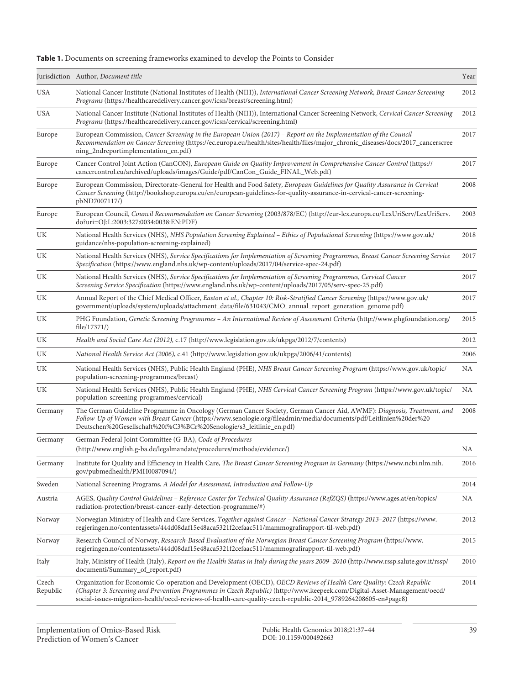| Table 1. Documents on screening frameworks examined to develop the Points to Consider |  |  |  |  |  |
|---------------------------------------------------------------------------------------|--|--|--|--|--|
|---------------------------------------------------------------------------------------|--|--|--|--|--|

|                   | Jurisdiction Author, Document title                                                                                                                                                                                                                                                                                                                               | Year |
|-------------------|-------------------------------------------------------------------------------------------------------------------------------------------------------------------------------------------------------------------------------------------------------------------------------------------------------------------------------------------------------------------|------|
| <b>USA</b>        | National Cancer Institute (National Institutes of Health (NIH)), International Cancer Screening Network, Breast Cancer Screening<br>Programs (https://healthcaredelivery.cancer.gov/icsn/breast/screening.html)                                                                                                                                                   | 2012 |
| <b>USA</b>        | National Cancer Institute (National Institutes of Health (NIH)), International Cancer Screening Network, Cervical Cancer Screening<br>Programs (https://healthcaredelivery.cancer.gov/icsn/cervical/screening.html)                                                                                                                                               | 2012 |
| Europe            | European Commission, Cancer Screening in the European Union (2017) - Report on the Implementation of the Council<br>Recommendation on Cancer Screening (https://ec.europa.eu/health/sites/health/files/major_chronic_diseases/docs/2017_cancerscree<br>ning_2ndreportimplementation_en.pdf)                                                                       | 2017 |
| Europe            | Cancer Control Joint Action (CanCON), European Guide on Quality Improvement in Comprehensive Cancer Control (https://<br>cancercontrol.eu/archived/uploads/images/Guide/pdf/CanCon_Guide_FINAL_Web.pdf)                                                                                                                                                           | 2017 |
| Europe            | European Commission, Directorate-General for Health and Food Safety, European Guidelines for Quality Assurance in Cervical<br>Cancer Screening (http://bookshop.europa.eu/en/european-guidelines-for-quality-assurance-in-cervical-cancer-screening-<br>pbND7007117/)                                                                                             | 2008 |
| Europe            | European Council, Council Recommendation on Cancer Screening (2003/878/EC) (http://eur-lex.europa.eu/LexUriServ/LexUriServ.<br>do?uri=OJ:L:2003:327:0034:0038:EN:PDF)                                                                                                                                                                                             | 2003 |
| UK                | National Health Services (NHS), NHS Population Screening Explained - Ethics of Populational Screening (https://www.gov.uk/<br>guidance/nhs-population-screening-explained)                                                                                                                                                                                        | 2018 |
| UK                | National Health Services (NHS), Service Specifications for Implementation of Screening Programmes, Breast Cancer Screening Service<br>Specification (https://www.england.nhs.uk/wp-content/uploads/2017/04/service-spec-24.pdf)                                                                                                                                   | 2017 |
| UK                | National Health Services (NHS), Service Specifications for Implementation of Screening Programmes, Cervical Cancer<br>Screening Service Specification (https://www.england.nhs.uk/wp-content/uploads/2017/05/serv-spec-25.pdf)                                                                                                                                    | 2017 |
| UK                | Annual Report of the Chief Medical Officer, Easton et al., Chapter 10: Risk-Stratified Cancer Screening (https://www.gov.uk/<br>government/uploads/system/uploads/attachment_data/file/631043/CMO_annual_report_generation_genome.pdf)                                                                                                                            | 2017 |
| UK                | PHG Foundation, Genetic Screening Programmes - An International Review of Assessment Criteria (http://www.phgfoundation.org/<br>file/17371/)                                                                                                                                                                                                                      | 2015 |
| UK                | Health and Social Care Act (2012), c.17 (http://www.legislation.gov.uk/ukpga/2012/7/contents)                                                                                                                                                                                                                                                                     | 2012 |
| UK                | National Health Service Act (2006), c.41 (http://www.legislation.gov.uk/ukpga/2006/41/contents)                                                                                                                                                                                                                                                                   | 2006 |
| UK                | National Health Services (NHS), Public Health England (PHE), NHS Breast Cancer Screening Program (https://www.gov.uk/topic/<br>population-screening-programmes/breast)                                                                                                                                                                                            | NA   |
| UK                | National Health Services (NHS), Public Health England (PHE), NHS Cervical Cancer Screening Program (https://www.gov.uk/topic/<br>population-screening-programmes/cervical)                                                                                                                                                                                        | NA   |
| Germany           | The German Guideline Programme in Oncology (German Cancer Society, German Cancer Aid, AWMF): Diagnosis, Treatment, and<br>Follow-Up of Women with Breast Cancer (https://www.senologie.org/fileadmin/media/documents/pdf/Leitlinien%20der%20<br>Deutschen%20Gesellschaft%20f%C3%BCr%20Senologie/s3_leitlinie_en.pdf)                                              | 2008 |
| Germany           | German Federal Joint Committee (G-BA), Code of Procedures<br>(http://www.english.g-ba.de/legalmandate/procedures/methods/evidence/)                                                                                                                                                                                                                               | NA.  |
| Germany           | Institute for Quality and Efficiency in Health Care, The Breast Cancer Screening Program in Germany (https://www.ncbi.nlm.nih.<br>gov/pubmedhealth/PMH0087094/)                                                                                                                                                                                                   | 2016 |
| Sweden            | National Screening Programs, A Model for Assessment, Introduction and Follow-Up                                                                                                                                                                                                                                                                                   | 2014 |
| Austria           | AGES, Quality Control Guidelines - Reference Center for Technical Quality Assurance (RefZQS) (https://www.ages.at/en/topics/<br>radiation-protection/breast-cancer-early-detection-programme/#)                                                                                                                                                                   | ΝA   |
| Norway            | Norwegian Ministry of Health and Care Services, Together against Cancer - National Cancer Strategy 2013-2017 (https://www.<br>regjeringen.no/contentassets/444d08daf15e48aca5321f2cefaac511/mammografirapport-til-web.pdf)                                                                                                                                        | 2012 |
| Norway            | Research Council of Norway, Research-Based Evaluation of the Norwegian Breast Cancer Screening Program (https://www.<br>regjeringen.no/contentassets/444d08daf15e48aca5321f2cefaac511/mammografirapport-til-web.pdf)                                                                                                                                              | 2015 |
| Italy             | Italy, Ministry of Health (Italy), Report on the Health Status in Italy during the years 2009-2010 (http://www.rssp.salute.gov.it/rssp/<br>documenti/Summary_of_report.pdf)                                                                                                                                                                                       | 2010 |
| Czech<br>Republic | Organization for Economic Co-operation and Development (OECD), OECD Reviews of Health Care Quality: Czech Republic<br>(Chapter 3: Screening and Prevention Programmes in Czech Republic) (http://www.keepeek.com/Digital-Asset-Management/oecd/<br>social-issues-migration-health/oecd-reviews-of-health-care-quality-czech-republic-2014_9789264208605-en#page8) | 2014 |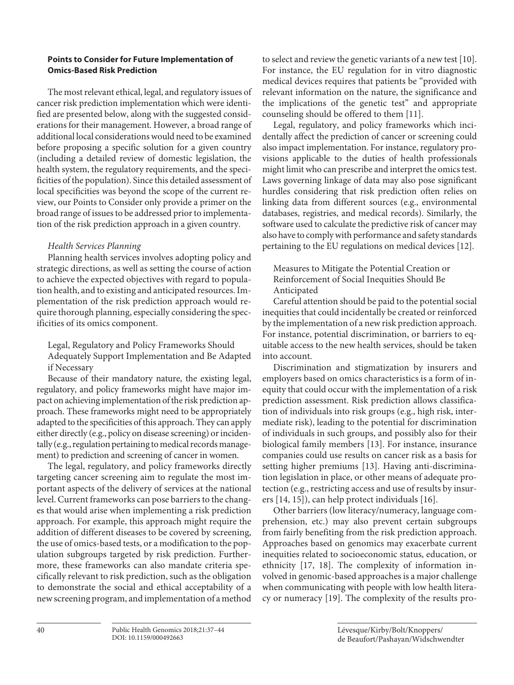#### **Points to Consider for Future Implementation of Omics-Based Risk Prediction**

The most relevant ethical, legal, and regulatory issues of cancer risk prediction implementation which were identified are presented below, along with the suggested considerations for their management. However, a broad range of additional local considerations would need to be examined before proposing a specific solution for a given country (including a detailed review of domestic legislation, the health system, the regulatory requirements, and the specificities of the population). Since this detailed assessment of local specificities was beyond the scope of the current review, our Points to Consider only provide a primer on the broad range of issues to be addressed prior to implementation of the risk prediction approach in a given country.

## *Health Services Planning*

Planning health services involves adopting policy and strategic directions, as well as setting the course of action to achieve the expected objectives with regard to population health, and to existing and anticipated resources. Implementation of the risk prediction approach would require thorough planning, especially considering the specificities of its omics component.

Legal, Regulatory and Policy Frameworks Should Adequately Support Implementation and Be Adapted if Necessary

Because of their mandatory nature, the existing legal, regulatory, and policy frameworks might have major impact on achieving implementation of the risk prediction approach. These frameworks might need to be appropriately adapted to the specificities of this approach. They can apply either directly (e.g., policy on disease screening) or incidentally (e.g., regulation pertaining to medical records management) to prediction and screening of cancer in women.

The legal, regulatory, and policy frameworks directly targeting cancer screening aim to regulate the most important aspects of the delivery of services at the national level. Current frameworks can pose barriers to the changes that would arise when implementing a risk prediction approach. For example, this approach might require the addition of different diseases to be covered by screening, the use of omics-based tests, or a modification to the population subgroups targeted by risk prediction. Furthermore, these frameworks can also mandate criteria specifically relevant to risk prediction, such as the obligation to demonstrate the social and ethical acceptability of a new screening program, and implementation of a method

to select and review the genetic variants of a new test [10]. For instance, the EU regulation for in vitro diagnostic medical devices requires that patients be "provided with relevant information on the nature, the significance and the implications of the genetic test" and appropriate counseling should be offered to them [11].

Legal, regulatory, and policy frameworks which incidentally affect the prediction of cancer or screening could also impact implementation. For instance, regulatory provisions applicable to the duties of health professionals might limit who can prescribe and interpret the omics test. Laws governing linkage of data may also pose significant hurdles considering that risk prediction often relies on linking data from different sources (e.g., environmental databases, registries, and medical records). Similarly, the software used to calculate the predictive risk of cancer may also have to comply with performance and safety standards pertaining to the EU regulations on medical devices [12].

Measures to Mitigate the Potential Creation or Reinforcement of Social Inequities Should Be Anticipated

Careful attention should be paid to the potential social inequities that could incidentally be created or reinforced by the implementation of a new risk prediction approach. For instance, potential discrimination, or barriers to equitable access to the new health services, should be taken into account.

Discrimination and stigmatization by insurers and employers based on omics characteristics is a form of inequity that could occur with the implementation of a risk prediction assessment. Risk prediction allows classification of individuals into risk groups (e.g., high risk, intermediate risk), leading to the potential for discrimination of individuals in such groups, and possibly also for their biological family members [13]. For instance, insurance companies could use results on cancer risk as a basis for setting higher premiums [13]. Having anti-discrimination legislation in place, or other means of adequate protection (e.g., restricting access and use of results by insurers [14, 15]), can help protect individuals [16].

Other barriers (low literacy/numeracy, language comprehension, etc.) may also prevent certain subgroups from fairly benefiting from the risk prediction approach. Approaches based on genomics may exacerbate current inequities related to socioeconomic status, education, or ethnicity [17, 18]. The complexity of information involved in genomic-based approaches is a major challenge when communicating with people with low health literacy or numeracy [19]. The complexity of the results pro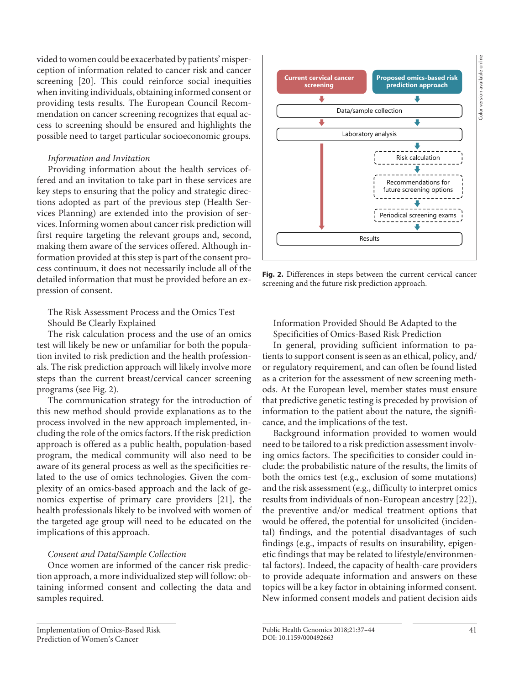vided to women could be exacerbated by patients' misperception of information related to cancer risk and cancer screening [20]. This could reinforce social inequities when inviting individuals, obtaining informed consent or providing tests results. The European Council Recommendation on cancer screening recognizes that equal access to screening should be ensured and highlights the possible need to target particular socioeconomic groups.

### *Information and Invitation*

Providing information about the health services offered and an invitation to take part in these services are key steps to ensuring that the policy and strategic directions adopted as part of the previous step (Health Services Planning) are extended into the provision of services. Informing women about cancer risk prediction will first require targeting the relevant groups and, second, making them aware of the services offered. Although information provided at this step is part of the consent process continuum, it does not necessarily include all of the detailed information that must be provided before an expression of consent.

The Risk Assessment Process and the Omics Test Should Be Clearly Explained

The risk calculation process and the use of an omics test will likely be new or unfamiliar for both the population invited to risk prediction and the health professionals. The risk prediction approach will likely involve more steps than the current breast/cervical cancer screening programs (see Fig. 2).

The communication strategy for the introduction of this new method should provide explanations as to the process involved in the new approach implemented, including the role of the omics factors. If the risk prediction approach is offered as a public health, population-based program, the medical community will also need to be aware of its general process as well as the specificities related to the use of omics technologies. Given the complexity of an omics-based approach and the lack of genomics expertise of primary care providers [21], the health professionals likely to be involved with women of the targeted age group will need to be educated on the implications of this approach.

#### *Consent and Data***/***Sample Collection*

Once women are informed of the cancer risk prediction approach, a more individualized step will follow: obtaining informed consent and collecting the data and samples required.



**Fig. 2.** Differences in steps between the current cervical cancer screening and the future risk prediction approach.

Information Provided Should Be Adapted to the Specificities of Omics-Based Risk Prediction

In general, providing sufficient information to patients to support consent is seen as an ethical, policy, and/ or regulatory requirement, and can often be found listed as a criterion for the assessment of new screening methods. At the European level, member states must ensure that predictive genetic testing is preceded by provision of information to the patient about the nature, the significance, and the implications of the test.

Background information provided to women would need to be tailored to a risk prediction assessment involving omics factors. The specificities to consider could include: the probabilistic nature of the results, the limits of both the omics test (e.g., exclusion of some mutations) and the risk assessment (e.g., difficulty to interpret omics results from individuals of non-European ancestry [22]), the preventive and/or medical treatment options that would be offered, the potential for unsolicited (incidental) findings, and the potential disadvantages of such findings (e.g., impacts of results on insurability, epigenetic findings that may be related to lifestyle/environmental factors). Indeed, the capacity of health-care providers to provide adequate information and answers on these topics will be a key factor in obtaining informed consent. New informed consent models and patient decision aids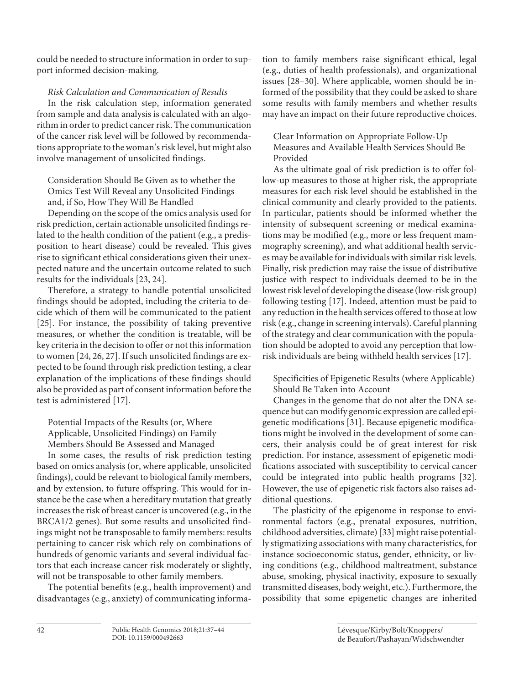could be needed to structure information in order to support informed decision-making.

*Risk Calculation and Communication of Results*

In the risk calculation step, information generated from sample and data analysis is calculated with an algorithm in order to predict cancer risk. The communication of the cancer risk level will be followed by recommendations appropriate to the woman's risk level, but might also involve management of unsolicited findings.

Consideration Should Be Given as to whether the Omics Test Will Reveal any Unsolicited Findings and, if So, How They Will Be Handled

Depending on the scope of the omics analysis used for risk prediction, certain actionable unsolicited findings related to the health condition of the patient (e.g., a predisposition to heart disease) could be revealed. This gives rise to significant ethical considerations given their unexpected nature and the uncertain outcome related to such results for the individuals [23, 24].

Therefore, a strategy to handle potential unsolicited findings should be adopted, including the criteria to decide which of them will be communicated to the patient [25]. For instance, the possibility of taking preventive measures, or whether the condition is treatable, will be key criteria in the decision to offer or not this information to women [24, 26, 27]. If such unsolicited findings are expected to be found through risk prediction testing, a clear explanation of the implications of these findings should also be provided as part of consent information before the test is administered [17].

Potential Impacts of the Results (or, Where Applicable, Unsolicited Findings) on Family Members Should Be Assessed and Managed

In some cases, the results of risk prediction testing based on omics analysis (or, where applicable, unsolicited findings), could be relevant to biological family members, and by extension, to future offspring. This would for instance be the case when a hereditary mutation that greatly increases the risk of breast cancer is uncovered (e.g., in the BRCA1/2 genes). But some results and unsolicited findings might not be transposable to family members: results pertaining to cancer risk which rely on combinations of hundreds of genomic variants and several individual factors that each increase cancer risk moderately or slightly, will not be transposable to other family members.

The potential benefits (e.g., health improvement) and disadvantages (e.g., anxiety) of communicating information to family members raise significant ethical, legal (e.g., duties of health professionals), and organizational issues [28–30]. Where applicable, women should be informed of the possibility that they could be asked to share some results with family members and whether results may have an impact on their future reproductive choices.

Clear Information on Appropriate Follow-Up Measures and Available Health Services Should Be Provided

As the ultimate goal of risk prediction is to offer follow-up measures to those at higher risk, the appropriate measures for each risk level should be established in the clinical community and clearly provided to the patients. In particular, patients should be informed whether the intensity of subsequent screening or medical examinations may be modified (e.g., more or less frequent mammography screening), and what additional health services may be available for individuals with similar risk levels. Finally, risk prediction may raise the issue of distributive justice with respect to individuals deemed to be in the lowest risk level of developing the disease (low-risk group) following testing [17]. Indeed, attention must be paid to any reduction in the health services offered to those at low risk (e.g., change in screening intervals). Careful planning of the strategy and clear communication with the population should be adopted to avoid any perception that lowrisk individuals are being withheld health services [17].

Specificities of Epigenetic Results (where Applicable) Should Be Taken into Account

Changes in the genome that do not alter the DNA sequence but can modify genomic expression are called epigenetic modifications [31]. Because epigenetic modifications might be involved in the development of some cancers, their analysis could be of great interest for risk prediction. For instance, assessment of epigenetic modifications associated with susceptibility to cervical cancer could be integrated into public health programs [32]. However, the use of epigenetic risk factors also raises additional questions.

The plasticity of the epigenome in response to environmental factors (e.g., prenatal exposures, nutrition, childhood adversities, climate) [33] might raise potentially stigmatizing associations with many characteristics, for instance socioeconomic status, gender, ethnicity, or living conditions (e.g., childhood maltreatment, substance abuse, smoking, physical inactivity, exposure to sexually transmitted diseases, body weight, etc.). Furthermore, the possibility that some epigenetic changes are inherited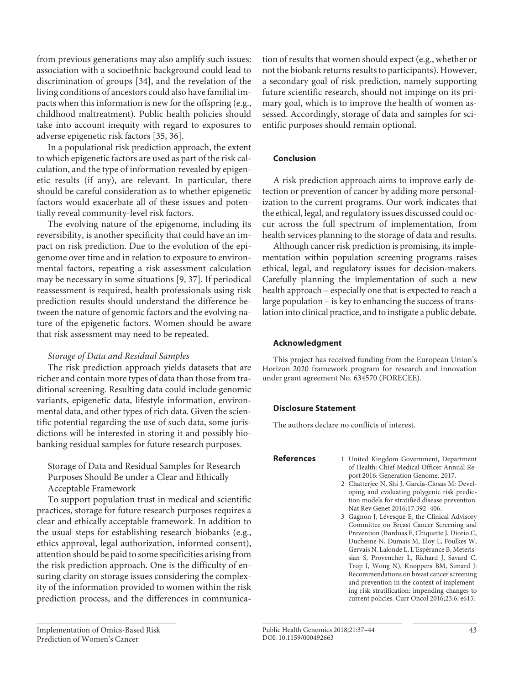from previous generations may also amplify such issues: association with a socioethnic background could lead to discrimination of groups [34], and the revelation of the living conditions of ancestors could also have familial impacts when this information is new for the offspring (e.g., childhood maltreatment). Public health policies should take into account inequity with regard to exposures to adverse epigenetic risk factors [35, 36].

In a populational risk prediction approach, the extent to which epigenetic factors are used as part of the risk calculation, and the type of information revealed by epigenetic results (if any), are relevant. In particular, there should be careful consideration as to whether epigenetic factors would exacerbate all of these issues and potentially reveal community-level risk factors.

The evolving nature of the epigenome, including its reversibility, is another specificity that could have an impact on risk prediction. Due to the evolution of the epigenome over time and in relation to exposure to environmental factors, repeating a risk assessment calculation may be necessary in some situations [9, 37]. If periodical reassessment is required, health professionals using risk prediction results should understand the difference between the nature of genomic factors and the evolving nature of the epigenetic factors. Women should be aware that risk assessment may need to be repeated.

#### *Storage of Data and Residual Samples*

The risk prediction approach yields datasets that are richer and contain more types of data than those from traditional screening. Resulting data could include genomic variants, epigenetic data, lifestyle information, environmental data, and other types of rich data. Given the scientific potential regarding the use of such data, some jurisdictions will be interested in storing it and possibly biobanking residual samples for future research purposes.

Storage of Data and Residual Samples for Research Purposes Should Be under a Clear and Ethically Acceptable Framework

To support population trust in medical and scientific practices, storage for future research purposes requires a clear and ethically acceptable framework. In addition to the usual steps for establishing research biobanks (e.g., ethics approval, legal authorization, informed consent), attention should be paid to some specificities arising from the risk prediction approach. One is the difficulty of ensuring clarity on storage issues considering the complexity of the information provided to women within the risk prediction process, and the differences in communication of results that women should expect (e.g., whether or not the biobank returns results to participants). However, a secondary goal of risk prediction, namely supporting future scientific research, should not impinge on its primary goal, which is to improve the health of women assessed. Accordingly, storage of data and samples for scientific purposes should remain optional.

### **Conclusion**

A risk prediction approach aims to improve early detection or prevention of cancer by adding more personalization to the current programs. Our work indicates that the ethical, legal, and regulatory issues discussed could occur across the full spectrum of implementation, from health services planning to the storage of data and results.

Although cancer risk prediction is promising, its implementation within population screening programs raises ethical, legal, and regulatory issues for decision-makers. Carefully planning the implementation of such a new health approach – especially one that is expected to reach a large population – is key to enhancing the success of translation into clinical practice, and to instigate a public debate.

#### **Acknowledgment**

This project has received funding from the European Union's Horizon 2020 framework program for research and innovation under grant agreement No. 634570 (FORECEE).

#### **Disclosure Statement**

The authors declare no conflicts of interest.

- **References** 1 United Kingdom Government, Department of Health: Chief Medical Officer Annual Report 2016: Generation Genome. 2017.
	- 2 Chatterjee N, Shi J, Garcia-Closas M: Developing and evaluating polygenic risk prediction models for stratified disease prevention. Nat Rev Genet 2016;17:392–406.
	- 3 Gagnon J, Lévesque E, the Clinical Advisory Committee on Breast Cancer Screening and Prevention (Borduas F, Chiquette J, Diorio C, Duchesne N, Dumais M, Eloy L, Foulkes W, Gervais N, Lalonde L, L'Espérance B, Meterissian S, Provencher L, Richard J, Savard C, Trop I, Wong N), Knoppers BM, Simard J: Recommendations on breast cancer screening and prevention in the context of implementing risk stratification: impending changes to current policies. Curr Oncol 2016;23:6, e615.